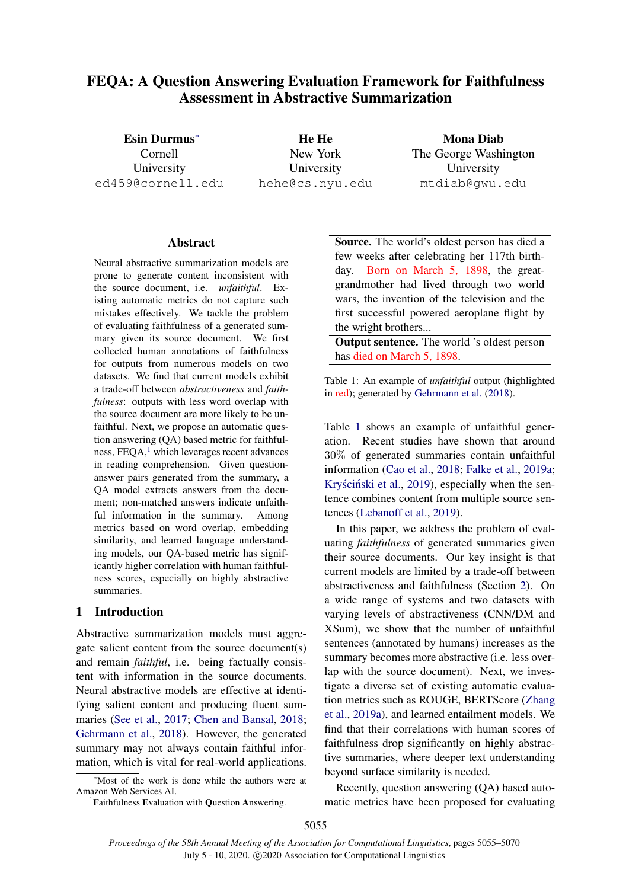# FEQA: A Question Answering Evaluation Framework for Faithfulness Assessment in Abstractive Summarization

Esin Durmus<sup>∗</sup> Cornell University ed459@cornell.edu

He He New York University hehe@cs.nyu.edu

Mona Diab The George Washington University mtdiab@gwu.edu

### Abstract

Neural abstractive summarization models are prone to generate content inconsistent with the source document, i.e. *unfaithful*. Existing automatic metrics do not capture such mistakes effectively. We tackle the problem of evaluating faithfulness of a generated summary given its source document. We first collected human annotations of faithfulness for outputs from numerous models on two datasets. We find that current models exhibit a trade-off between *abstractiveness* and *faithfulness*: outputs with less word overlap with the source document are more likely to be unfaithful. Next, we propose an automatic question answering (QA) based metric for faithfulness,  $FEOA$ , which leverages recent advances in reading comprehension. Given questionanswer pairs generated from the summary, a QA model extracts answers from the document; non-matched answers indicate unfaithful information in the summary. Among metrics based on word overlap, embedding similarity, and learned language understanding models, our QA-based metric has significantly higher correlation with human faithfulness scores, especially on highly abstractive summaries.

#### 1 Introduction

Abstractive summarization models must aggregate salient content from the source document(s) and remain *faithful*, i.e. being factually consistent with information in the source documents. Neural abstractive models are effective at identifying salient content and producing fluent summaries [\(See et al.,](#page-11-0) [2017;](#page-11-0) [Chen and Bansal,](#page-9-0) [2018;](#page-9-0) [Gehrmann et al.,](#page-9-1) [2018\)](#page-9-1). However, the generated summary may not always contain faithful information, which is vital for real-world applications.

<span id="page-0-0"></span><sup>1</sup>Faithfulness Evaluation with Question Answering.

<span id="page-0-1"></span>Source. The world's oldest person has died a few weeks after celebrating her 117th birthday. Born on March 5, 1898, the greatgrandmother had lived through two world wars, the invention of the television and the first successful powered aeroplane flight by the wright brothers...

**Output sentence.** The world 's oldest person has died on March 5, 1898.

Table 1: An example of *unfaithful* output (highlighted in red); generated by [Gehrmann et al.](#page-9-1) [\(2018\)](#page-9-1).

Table [1](#page-0-1) shows an example of unfaithful generation. Recent studies have shown that around 30% of generated summaries contain unfaithful information [\(Cao et al.,](#page-9-2) [2018;](#page-9-2) [Falke et al.,](#page-9-3) [2019a;](#page-9-3) Kryściński et al., [2019\)](#page-10-0), especially when the sentence combines content from multiple source sentences [\(Lebanoff et al.,](#page-10-1) [2019\)](#page-10-1).

In this paper, we address the problem of evaluating *faithfulness* of generated summaries given their source documents. Our key insight is that current models are limited by a trade-off between abstractiveness and faithfulness (Section [2\)](#page-1-0). On a wide range of systems and two datasets with varying levels of abstractiveness (CNN/DM and XSum), we show that the number of unfaithful sentences (annotated by humans) increases as the summary becomes more abstractive (i.e. less overlap with the source document). Next, we investigate a diverse set of existing automatic evaluation metrics such as ROUGE, BERTScore [\(Zhang](#page-11-1) [et al.,](#page-11-1) [2019a\)](#page-11-1), and learned entailment models. We find that their correlations with human scores of faithfulness drop significantly on highly abstractive summaries, where deeper text understanding beyond surface similarity is needed.

Recently, question answering (QA) based automatic metrics have been proposed for evaluating

<sup>∗</sup>Most of the work is done while the authors were at Amazon Web Services AI.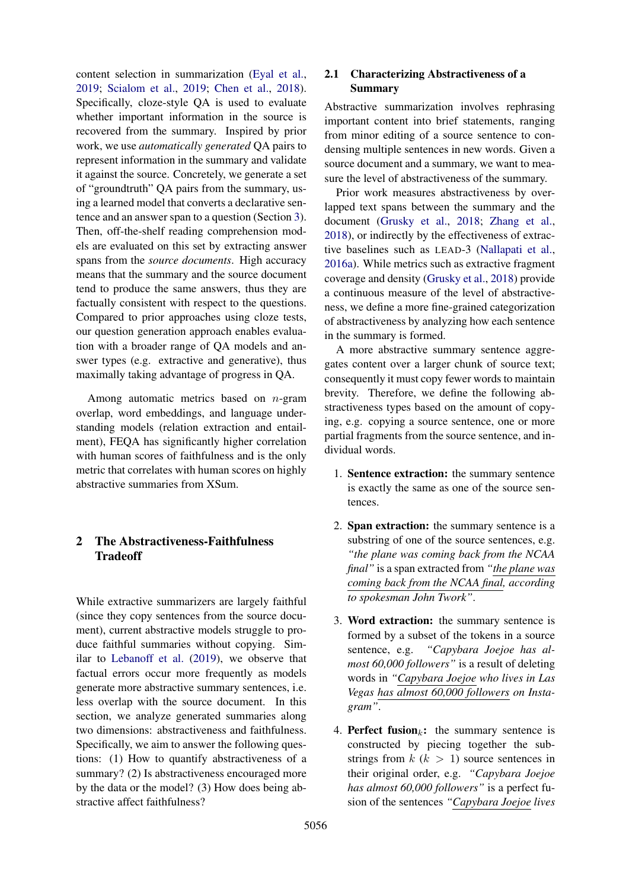content selection in summarization [\(Eyal et al.,](#page-9-4) [2019;](#page-9-4) [Scialom et al.,](#page-11-2) [2019;](#page-11-2) [Chen et al.,](#page-9-5) [2018\)](#page-9-5). Specifically, cloze-style QA is used to evaluate whether important information in the source is recovered from the summary. Inspired by prior work, we use *automatically generated* QA pairs to represent information in the summary and validate it against the source. Concretely, we generate a set of "groundtruth" QA pairs from the summary, using a learned model that converts a declarative sentence and an answer span to a question (Section [3\)](#page-4-0). Then, off-the-shelf reading comprehension models are evaluated on this set by extracting answer spans from the *source documents*. High accuracy means that the summary and the source document tend to produce the same answers, thus they are factually consistent with respect to the questions. Compared to prior approaches using cloze tests, our question generation approach enables evaluation with a broader range of QA models and answer types (e.g. extractive and generative), thus maximally taking advantage of progress in QA.

Among automatic metrics based on n-gram overlap, word embeddings, and language understanding models (relation extraction and entailment), FEQA has significantly higher correlation with human scores of faithfulness and is the only metric that correlates with human scores on highly abstractive summaries from XSum.

## <span id="page-1-0"></span>2 The Abstractiveness-Faithfulness Tradeoff

<span id="page-1-1"></span>While extractive summarizers are largely faithful (since they copy sentences from the source document), current abstractive models struggle to produce faithful summaries without copying. Similar to [Lebanoff et al.](#page-10-1) [\(2019\)](#page-10-1), we observe that factual errors occur more frequently as models generate more abstractive summary sentences, i.e. less overlap with the source document. In this section, we analyze generated summaries along two dimensions: abstractiveness and faithfulness. Specifically, we aim to answer the following questions: (1) How to quantify abstractiveness of a summary? (2) Is abstractiveness encouraged more by the data or the model? (3) How does being abstractive affect faithfulness?

### 2.1 Characterizing Abstractiveness of a Summary

Abstractive summarization involves rephrasing important content into brief statements, ranging from minor editing of a source sentence to condensing multiple sentences in new words. Given a source document and a summary, we want to measure the level of abstractiveness of the summary.

Prior work measures abstractiveness by overlapped text spans between the summary and the document [\(Grusky et al.,](#page-9-6) [2018;](#page-9-6) [Zhang et al.,](#page-11-3) [2018\)](#page-11-3), or indirectly by the effectiveness of extractive baselines such as LEAD-3 [\(Nallapati et al.,](#page-10-2) [2016a\)](#page-10-2). While metrics such as extractive fragment coverage and density [\(Grusky et al.,](#page-9-6) [2018\)](#page-9-6) provide a continuous measure of the level of abstractiveness, we define a more fine-grained categorization of abstractiveness by analyzing how each sentence in the summary is formed.

A more abstractive summary sentence aggregates content over a larger chunk of source text; consequently it must copy fewer words to maintain brevity. Therefore, we define the following abstractiveness types based on the amount of copying, e.g. copying a source sentence, one or more partial fragments from the source sentence, and individual words.

- 1. Sentence extraction: the summary sentence is exactly the same as one of the source sentences.
- 2. Span extraction: the summary sentence is a substring of one of the source sentences, e.g. *"the plane was coming back from the NCAA final"* is a span extracted from *"the plane was coming back from the NCAA final, according to spokesman John Twork"*.
- 3. Word extraction: the summary sentence is formed by a subset of the tokens in a source sentence, e.g. *"Capybara Joejoe has almost 60,000 followers"* is a result of deleting words in *"Capybara Joejoe who lives in Las Vegas has almost 60,000 followers on Instagram"*.
- 4. Perfect fusion<sub>k</sub>: the summary sentence is constructed by piecing together the substrings from  $k$  ( $k > 1$ ) source sentences in their original order, e.g. *"Capybara Joejoe has almost 60,000 followers"* is a perfect fusion of the sentences *"Capybara Joejoe lives*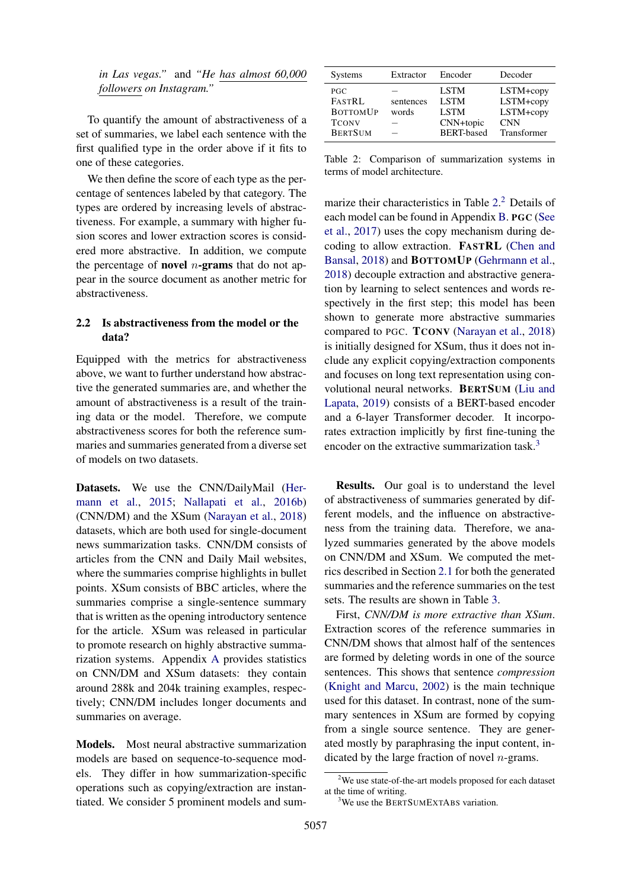*in Las vegas."* and *"He has almost 60,000 followers on Instagram."*

To quantify the amount of abstractiveness of a set of summaries, we label each sentence with the first qualified type in the order above if it fits to one of these categories.

We then define the score of each type as the percentage of sentences labeled by that category. The types are ordered by increasing levels of abstractiveness. For example, a summary with higher fusion scores and lower extraction scores is considered more abstractive. In addition, we compute the percentage of **novel** *n*-grams that do not appear in the source document as another metric for abstractiveness.

#### <span id="page-2-3"></span>2.2 Is abstractiveness from the model or the data?

Equipped with the metrics for abstractiveness above, we want to further understand how abstractive the generated summaries are, and whether the amount of abstractiveness is a result of the training data or the model. Therefore, we compute abstractiveness scores for both the reference summaries and summaries generated from a diverse set of models on two datasets.

Datasets. We use the CNN/DailyMail [\(Her](#page-10-3)[mann et al.,](#page-10-3) [2015;](#page-10-3) [Nallapati et al.,](#page-10-4) [2016b\)](#page-10-4) (CNN/DM) and the XSum [\(Narayan et al.,](#page-10-5) [2018\)](#page-10-5) datasets, which are both used for single-document news summarization tasks. CNN/DM consists of articles from the CNN and Daily Mail websites, where the summaries comprise highlights in bullet points. XSum consists of BBC articles, where the summaries comprise a single-sentence summary that is written as the opening introductory sentence for the article. XSum was released in particular to promote research on highly abstractive summarization systems. Appendix [A](#page-12-0) provides statistics on CNN/DM and XSum datasets: they contain around 288k and 204k training examples, respectively; CNN/DM includes longer documents and summaries on average.

Models. Most neural abstractive summarization models are based on sequence-to-sequence models. They differ in how summarization-specific operations such as copying/extraction are instantiated. We consider 5 prominent models and sum-

<span id="page-2-0"></span>

| <b>Systems</b>                                                            | Extractor               | Encoder                                                                     | Decoder                                                          |
|---------------------------------------------------------------------------|-------------------------|-----------------------------------------------------------------------------|------------------------------------------------------------------|
| PGC<br><b>FASTRL</b><br><b>BOTTOMUP</b><br><b>TCONV</b><br><b>BERTSUM</b> | sentences<br>words<br>- | <b>LSTM</b><br><b>LSTM</b><br><b>LSTM</b><br>CNN+topic<br><b>BERT-based</b> | LSTM+copy<br>LSTM+copy<br>LSTM+copy<br><b>CNN</b><br>Transformer |

Table 2: Comparison of summarization systems in terms of model architecture.

marize their characteristics in Table [2.](#page-2-0) [2](#page-2-1) Details of each model can be found in Appendix [B.](#page-12-1) PGC [\(See](#page-11-0) [et al.,](#page-11-0) [2017\)](#page-11-0) uses the copy mechanism during decoding to allow extraction. FASTRL [\(Chen and](#page-9-0) [Bansal,](#page-9-0) [2018\)](#page-9-0) and BOTTOMUP [\(Gehrmann et al.,](#page-9-1) [2018\)](#page-9-1) decouple extraction and abstractive generation by learning to select sentences and words respectively in the first step; this model has been shown to generate more abstractive summaries compared to PGC. TCONV [\(Narayan et al.,](#page-10-5) [2018\)](#page-10-5) is initially designed for XSum, thus it does not include any explicit copying/extraction components and focuses on long text representation using convolutional neural networks. BERTSUM [\(Liu and](#page-10-6) [Lapata,](#page-10-6) [2019\)](#page-10-6) consists of a BERT-based encoder and a 6-layer Transformer decoder. It incorporates extraction implicitly by first fine-tuning the encoder on the extractive summarization task.<sup>[3](#page-2-2)</sup>

Results. Our goal is to understand the level of abstractiveness of summaries generated by different models, and the influence on abstractiveness from the training data. Therefore, we analyzed summaries generated by the above models on CNN/DM and XSum. We computed the metrics described in Section [2.1](#page-1-1) for both the generated summaries and the reference summaries on the test sets. The results are shown in Table [3.](#page-3-0)

First, *CNN/DM is more extractive than XSum*. Extraction scores of the reference summaries in CNN/DM shows that almost half of the sentences are formed by deleting words in one of the source sentences. This shows that sentence *compression* [\(Knight and Marcu,](#page-10-7) [2002\)](#page-10-7) is the main technique used for this dataset. In contrast, none of the summary sentences in XSum are formed by copying from a single source sentence. They are generated mostly by paraphrasing the input content, indicated by the large fraction of novel  $n$ -grams.

<span id="page-2-1"></span> $2$ We use state-of-the-art models proposed for each dataset at the time of writing.

<span id="page-2-2"></span><sup>&</sup>lt;sup>3</sup>We use the BERTSUMEXTABS variation.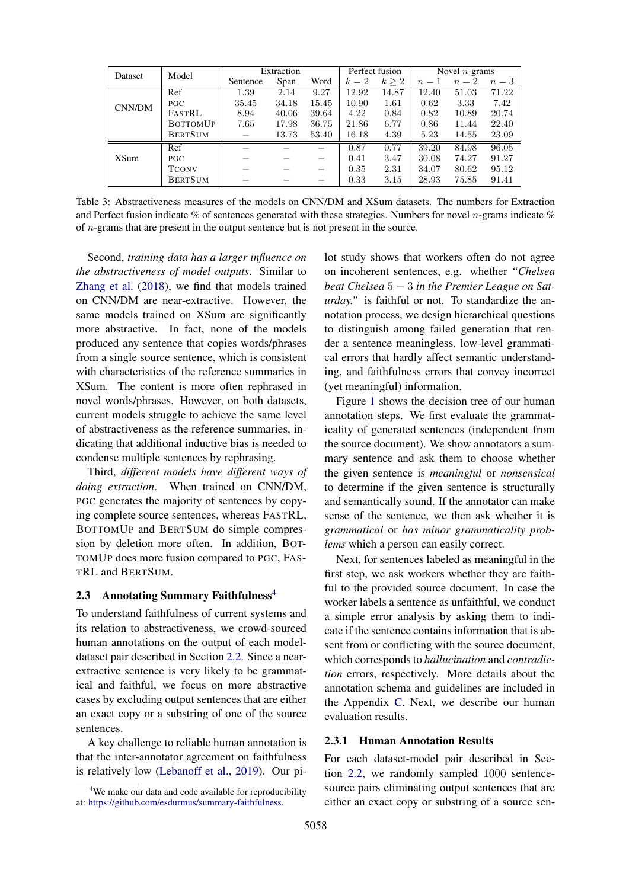<span id="page-3-0"></span>

| Model<br>Dataset |                 | Extraction |       | Perfect fusion |       | Novel $n$ -grams |       |       |       |
|------------------|-----------------|------------|-------|----------------|-------|------------------|-------|-------|-------|
|                  |                 | Sentence   | Span  | Word           | $k=2$ | $k \geq 2$       | $n=1$ | $n=2$ | $n=3$ |
|                  | Ref             | 1.39       | 2.14  | 9.27           | 12.92 | 14.87            | 12.40 | 51.03 | 71.22 |
| CNN/DM           | <b>PGC</b>      | 35.45      | 34.18 | 15.45          | 10.90 | 1.61             | 0.62  | 3.33  | 7.42  |
|                  | FASTRL          | 8.94       | 40.06 | 39.64          | 4.22  | 0.84             | 0.82  | 10.89 | 20.74 |
|                  | <b>BOTTOMUP</b> | 7.65       | 17.98 | 36.75          | 21.86 | 6.77             | 0.86  | 11.44 | 22.40 |
|                  | <b>BERTSUM</b>  |            | 13.73 | 53.40          | 16.18 | 4.39             | 5.23  | 14.55 | 23.09 |
|                  | Ref             |            |       |                | 0.87  | 0.77             | 39.20 | 84.98 | 96.05 |
| <b>XSum</b>      | PGC             |            |       |                | 0.41  | 3.47             | 30.08 | 74.27 | 91.27 |
|                  | <b>TCONV</b>    |            |       |                | 0.35  | 2.31             | 34.07 | 80.62 | 95.12 |
|                  | <b>BERTSUM</b>  |            |       |                | 0.33  | 3.15             | 28.93 | 75.85 | 91.41 |

Table 3: Abstractiveness measures of the models on CNN/DM and XSum datasets. The numbers for Extraction and Perfect fusion indicate % of sentences generated with these strategies. Numbers for novel *n*-grams indicate % of n-grams that are present in the output sentence but is not present in the source.

Second, *training data has a larger influence on the abstractiveness of model outputs*. Similar to [Zhang et al.](#page-11-3) [\(2018\)](#page-11-3), we find that models trained on CNN/DM are near-extractive. However, the same models trained on XSum are significantly more abstractive. In fact, none of the models produced any sentence that copies words/phrases from a single source sentence, which is consistent with characteristics of the reference summaries in XSum. The content is more often rephrased in novel words/phrases. However, on both datasets, current models struggle to achieve the same level of abstractiveness as the reference summaries, indicating that additional inductive bias is needed to condense multiple sentences by rephrasing.

Third, *different models have different ways of doing extraction*. When trained on CNN/DM, PGC generates the majority of sentences by copying complete source sentences, whereas FASTRL, BOTTOMUP and BERTSUM do simple compression by deletion more often. In addition, BOT-TOMUP does more fusion compared to PGC, FAS-TRL and BERTSUM.

#### <span id="page-3-2"></span>2.3 Annotating Summary Faithfulness<sup>[4](#page-3-1)</sup>

To understand faithfulness of current systems and its relation to abstractiveness, we crowd-sourced human annotations on the output of each modeldataset pair described in Section [2.2.](#page-2-3) Since a nearextractive sentence is very likely to be grammatical and faithful, we focus on more abstractive cases by excluding output sentences that are either an exact copy or a substring of one of the source sentences.

A key challenge to reliable human annotation is that the inter-annotator agreement on faithfulness is relatively low [\(Lebanoff et al.,](#page-10-1) [2019\)](#page-10-1). Our pilot study shows that workers often do not agree on incoherent sentences, e.g. whether *"Chelsea beat Chelsea* 5 − 3 *in the Premier League on Saturday."* is faithful or not. To standardize the annotation process, we design hierarchical questions to distinguish among failed generation that render a sentence meaningless, low-level grammatical errors that hardly affect semantic understanding, and faithfulness errors that convey incorrect (yet meaningful) information.

Figure [1](#page-4-1) shows the decision tree of our human annotation steps. We first evaluate the grammaticality of generated sentences (independent from the source document). We show annotators a summary sentence and ask them to choose whether the given sentence is *meaningful* or *nonsensical* to determine if the given sentence is structurally and semantically sound. If the annotator can make sense of the sentence, we then ask whether it is *grammatical* or *has minor grammaticality problems* which a person can easily correct.

Next, for sentences labeled as meaningful in the first step, we ask workers whether they are faithful to the provided source document. In case the worker labels a sentence as unfaithful, we conduct a simple error analysis by asking them to indicate if the sentence contains information that is absent from or conflicting with the source document, which corresponds to *hallucination* and *contradiction* errors, respectively. More details about the annotation schema and guidelines are included in the Appendix [C.](#page-12-2) Next, we describe our human evaluation results.

#### 2.3.1 Human Annotation Results

For each dataset-model pair described in Section [2.2,](#page-2-3) we randomly sampled 1000 sentencesource pairs eliminating output sentences that are either an exact copy or substring of a source sen-

<span id="page-3-1"></span><sup>&</sup>lt;sup>4</sup>We make our data and code available for reproducibility at: [https://github.com/esdurmus/summary-faithfulness.](https://github.com/esdurmus/summary-faithfulness)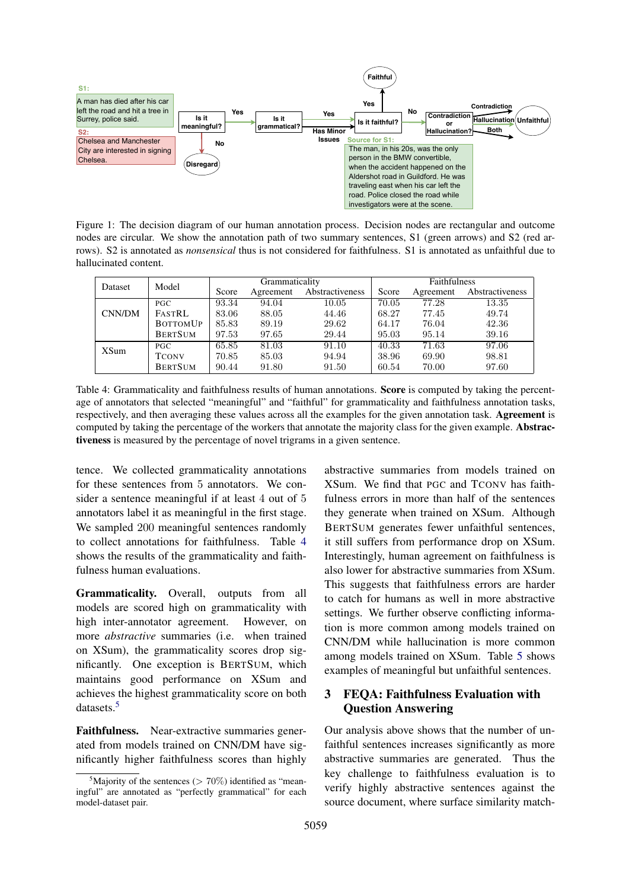<span id="page-4-1"></span>

Figure 1: The decision diagram of our human annotation process. Decision nodes are rectangular and outcome nodes are circular. We show the annotation path of two summary sentences, S1 (green arrows) and S2 (red arrows). S2 is annotated as *nonsensical* thus is not considered for faithfulness. S1 is annotated as unfaithful due to hallucinated content.

<span id="page-4-2"></span>

| Dataset     | Model           |       | Grammaticality |                 |       | <b>Faithfulness</b> |                 |  |
|-------------|-----------------|-------|----------------|-----------------|-------|---------------------|-----------------|--|
|             |                 | Score | Agreement      | Abstractiveness | Score | Agreement           | Abstractiveness |  |
|             | PGC             | 93.34 | 94.04          | 10.05           | 70.05 | 77.28               | 13.35           |  |
| CNN/DM      | <b>FASTRL</b>   | 83.06 | 88.05          | 44.46           | 68.27 | 77.45               | 49.74           |  |
|             | <b>BOTTOMUP</b> | 85.83 | 89.19          | 29.62           | 64.17 | 76.04               | 42.36           |  |
|             | <b>BERTSUM</b>  | 97.53 | 97.65          | 29.44           | 95.03 | 95.14               | 39.16           |  |
| <b>XSum</b> | PGC             | 65.85 | 81.03          | 91.10           | 40.33 | 71.63               | 97.06           |  |
|             | <b>TCONV</b>    | 70.85 | 85.03          | 94.94           | 38.96 | 69.90               | 98.81           |  |
|             | <b>BERTSUM</b>  | 90.44 | 91.80          | 91.50           | 60.54 | 70.00               | 97.60           |  |

Table 4: Grammaticality and faithfulness results of human annotations. Score is computed by taking the percentage of annotators that selected "meaningful" and "faithful" for grammaticality and faithfulness annotation tasks, respectively, and then averaging these values across all the examples for the given annotation task. Agreement is computed by taking the percentage of the workers that annotate the majority class for the given example. Abstractiveness is measured by the percentage of novel trigrams in a given sentence.

tence. We collected grammaticality annotations for these sentences from 5 annotators. We consider a sentence meaningful if at least 4 out of 5 annotators label it as meaningful in the first stage. We sampled 200 meaningful sentences randomly to collect annotations for faithfulness. Table [4](#page-4-2) shows the results of the grammaticality and faithfulness human evaluations.

Grammaticality. Overall, outputs from all models are scored high on grammaticality with high inter-annotator agreement. However, on more *abstractive* summaries (i.e. when trained on XSum), the grammaticality scores drop significantly. One exception is BERTSUM, which maintains good performance on XSum and achieves the highest grammaticality score on both datasets.[5](#page-4-3)

Faithfulness. Near-extractive summaries generated from models trained on CNN/DM have significantly higher faithfulness scores than highly

abstractive summaries from models trained on XSum. We find that PGC and TCONV has faithfulness errors in more than half of the sentences they generate when trained on XSum. Although BERTSUM generates fewer unfaithful sentences, it still suffers from performance drop on XSum. Interestingly, human agreement on faithfulness is also lower for abstractive summaries from XSum. This suggests that faithfulness errors are harder to catch for humans as well in more abstractive settings. We further observe conflicting information is more common among models trained on CNN/DM while hallucination is more common among models trained on XSum. Table [5](#page-5-0) shows examples of meaningful but unfaithful sentences.

## <span id="page-4-0"></span>3 FEQA: Faithfulness Evaluation with Question Answering

Our analysis above shows that the number of unfaithful sentences increases significantly as more abstractive summaries are generated. Thus the key challenge to faithfulness evaluation is to verify highly abstractive sentences against the source document, where surface similarity match-

<span id="page-4-3"></span><sup>&</sup>lt;sup>5</sup>Majority of the sentences ( $> 70\%$ ) identified as "meaningful" are annotated as "perfectly grammatical" for each model-dataset pair.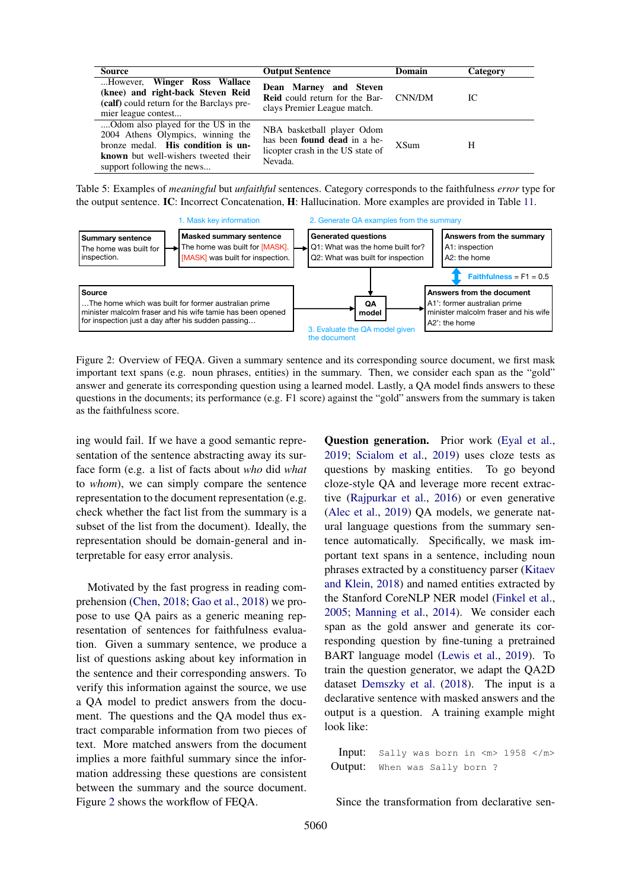<span id="page-5-0"></span>

| <b>Source</b>                                                                                                                                                                       | <b>Output Sentence</b>                                                                                     | Domain      | Category |
|-------------------------------------------------------------------------------------------------------------------------------------------------------------------------------------|------------------------------------------------------------------------------------------------------------|-------------|----------|
| However, Winger Ross Wallace<br>(knee) and right-back Steven Reid<br>(calf) could return for the Barclays pre-<br>mier league contest                                               | Dean Marney and Steven<br><b>Reid</b> could return for the Bar- CNN/DM<br>clays Premier League match.      |             | IС       |
| Odom also played for the US in the<br>2004 Athens Olympics, winning the<br>bronze medal. His condition is un-<br>known but well-wishers tweeted their<br>support following the news | NBA basketball player Odom<br>has been found dead in a he-<br>licopter crash in the US state of<br>Nevada. | <b>XSum</b> | Н        |

Table 5: Examples of *meaningful* but *unfaithful* sentences. Category corresponds to the faithfulness *error* type for the output sentence. IC: Incorrect Concatenation, H: Hallucination. More examples are provided in Table [11.](#page-13-0)

<span id="page-5-1"></span>

Figure 2: Overview of FEQA. Given a summary sentence and its corresponding source document, we first mask important text spans (e.g. noun phrases, entities) in the summary. Then, we consider each span as the "gold" answer and generate its corresponding question using a learned model. Lastly, a QA model finds answers to these questions in the documents; its performance (e.g. F1 score) against the "gold" answers from the summary is taken as the faithfulness score.

ing would fail. If we have a good semantic representation of the sentence abstracting away its surface form (e.g. a list of facts about *who* did *what* to *whom*), we can simply compare the sentence representation to the document representation (e.g. check whether the fact list from the summary is a subset of the list from the document). Ideally, the representation should be domain-general and interpretable for easy error analysis.

Motivated by the fast progress in reading comprehension [\(Chen,](#page-9-7) [2018;](#page-9-7) [Gao et al.,](#page-9-8) [2018\)](#page-9-8) we propose to use QA pairs as a generic meaning representation of sentences for faithfulness evaluation. Given a summary sentence, we produce a list of questions asking about key information in the sentence and their corresponding answers. To verify this information against the source, we use a QA model to predict answers from the document. The questions and the QA model thus extract comparable information from two pieces of text. More matched answers from the document implies a more faithful summary since the information addressing these questions are consistent between the summary and the source document. Figure [2](#page-5-1) shows the workflow of FEQA.

Question generation. Prior work [\(Eyal et al.,](#page-9-4) [2019;](#page-9-4) [Scialom et al.,](#page-11-2) [2019\)](#page-11-2) uses cloze tests as questions by masking entities. To go beyond cloze-style QA and leverage more recent extractive [\(Rajpurkar et al.,](#page-10-8) [2016\)](#page-10-8) or even generative [\(Alec et al.,](#page-9-9) [2019\)](#page-9-9) QA models, we generate natural language questions from the summary sentence automatically. Specifically, we mask important text spans in a sentence, including noun phrases extracted by a constituency parser [\(Kitaev](#page-10-9) [and Klein,](#page-10-9) [2018\)](#page-10-9) and named entities extracted by the Stanford CoreNLP NER model [\(Finkel et al.,](#page-9-10) [2005;](#page-9-10) [Manning et al.,](#page-10-10) [2014\)](#page-10-10). We consider each span as the gold answer and generate its corresponding question by fine-tuning a pretrained BART language model [\(Lewis et al.,](#page-10-11) [2019\)](#page-10-11). To train the question generator, we adapt the QA2D dataset [Demszky et al.](#page-9-11) [\(2018\)](#page-9-11). The input is a declarative sentence with masked answers and the output is a question. A training example might look like:

Input: Sally was born in  $\langle m \rangle$  1958  $\langle m \rangle$ Output: When was Sally born ?

Since the transformation from declarative sen-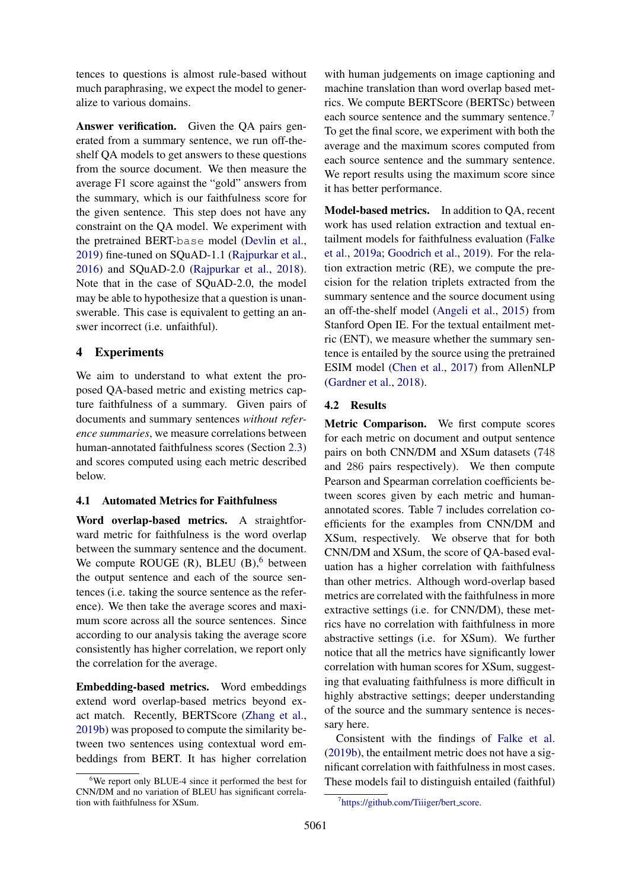tences to questions is almost rule-based without much paraphrasing, we expect the model to generalize to various domains.

Answer verification. Given the QA pairs generated from a summary sentence, we run off-theshelf QA models to get answers to these questions from the source document. We then measure the average F1 score against the "gold" answers from the summary, which is our faithfulness score for the given sentence. This step does not have any constraint on the QA model. We experiment with the pretrained BERT-base model [\(Devlin et al.,](#page-9-12) [2019\)](#page-9-12) fine-tuned on SQuAD-1.1 [\(Rajpurkar et al.,](#page-10-8) [2016\)](#page-10-8) and SQuAD-2.0 [\(Rajpurkar et al.,](#page-10-12) [2018\)](#page-10-12). Note that in the case of SQuAD-2.0, the model may be able to hypothesize that a question is unanswerable. This case is equivalent to getting an answer incorrect (i.e. unfaithful).

### 4 Experiments

We aim to understand to what extent the proposed QA-based metric and existing metrics capture faithfulness of a summary. Given pairs of documents and summary sentences *without reference summaries*, we measure correlations between human-annotated faithfulness scores (Section [2.3\)](#page-3-2) and scores computed using each metric described below.

### 4.1 Automated Metrics for Faithfulness

Word overlap-based metrics. A straightforward metric for faithfulness is the word overlap between the summary sentence and the document. We compute ROUGE  $(R)$ , BLEU  $(B)$ , between the output sentence and each of the source sentences (i.e. taking the source sentence as the reference). We then take the average scores and maximum score across all the source sentences. Since according to our analysis taking the average score consistently has higher correlation, we report only the correlation for the average.

Embedding-based metrics. Word embeddings extend word overlap-based metrics beyond exact match. Recently, BERTScore [\(Zhang et al.,](#page-11-4) [2019b\)](#page-11-4) was proposed to compute the similarity between two sentences using contextual word embeddings from BERT. It has higher correlation

with human judgements on image captioning and machine translation than word overlap based metrics. We compute BERTScore (BERTSc) between each source sentence and the summary sentence.<sup>[7](#page-6-1)</sup> To get the final score, we experiment with both the average and the maximum scores computed from each source sentence and the summary sentence. We report results using the maximum score since it has better performance.

Model-based metrics. In addition to QA, recent work has used relation extraction and textual entailment models for faithfulness evaluation [\(Falke](#page-9-3) [et al.,](#page-9-3) [2019a;](#page-9-3) [Goodrich et al.,](#page-9-13) [2019\)](#page-9-13). For the relation extraction metric (RE), we compute the precision for the relation triplets extracted from the summary sentence and the source document using an off-the-shelf model [\(Angeli et al.,](#page-9-14) [2015\)](#page-9-14) from Stanford Open IE. For the textual entailment metric (ENT), we measure whether the summary sentence is entailed by the source using the pretrained ESIM model [\(Chen et al.,](#page-9-15) [2017\)](#page-9-15) from AllenNLP [\(Gardner et al.,](#page-9-16) [2018\)](#page-9-16).

## 4.2 Results

Metric Comparison. We first compute scores for each metric on document and output sentence pairs on both CNN/DM and XSum datasets (748 and 286 pairs respectively). We then compute Pearson and Spearman correlation coefficients between scores given by each metric and humanannotated scores. Table [7](#page-7-0) includes correlation coefficients for the examples from CNN/DM and XSum, respectively. We observe that for both CNN/DM and XSum, the score of QA-based evaluation has a higher correlation with faithfulness than other metrics. Although word-overlap based metrics are correlated with the faithfulness in more extractive settings (i.e. for CNN/DM), these metrics have no correlation with faithfulness in more abstractive settings (i.e. for XSum). We further notice that all the metrics have significantly lower correlation with human scores for XSum, suggesting that evaluating faithfulness is more difficult in highly abstractive settings; deeper understanding of the source and the summary sentence is necessary here.

Consistent with the findings of [Falke et al.](#page-9-17) [\(2019b\)](#page-9-17), the entailment metric does not have a significant correlation with faithfulness in most cases. These models fail to distinguish entailed (faithful)

<span id="page-6-0"></span><sup>6</sup>We report only BLUE-4 since it performed the best for CNN/DM and no variation of BLEU has significant correlation with faithfulness for XSum.

<span id="page-6-1"></span><sup>7</sup> [https://github.com/Tiiiger/bert](https://github.com/Tiiiger/bert_score) score.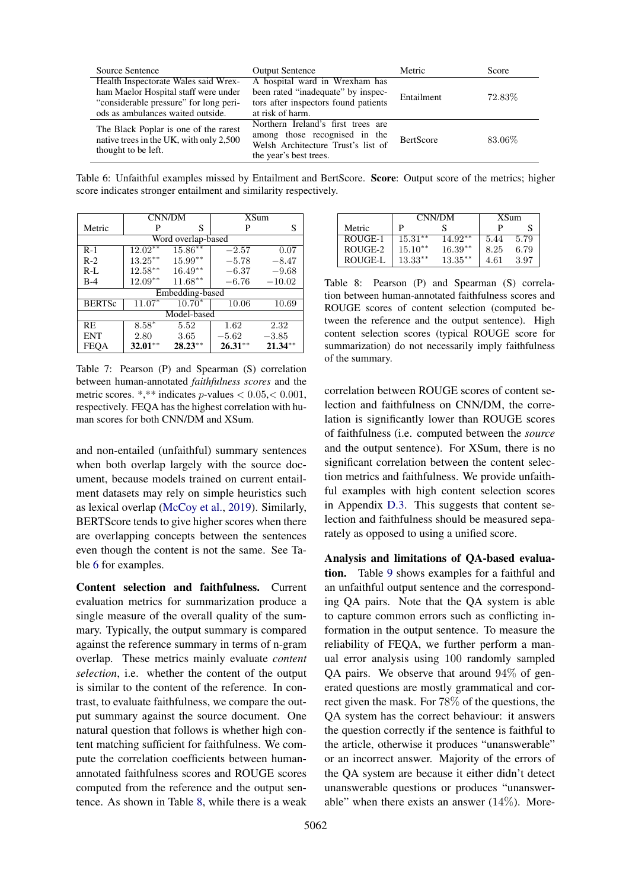<span id="page-7-1"></span>

| Source Sentence                                                                                                                                             | <b>Output Sentence</b>                                                                                                              | Metric           | Score   |
|-------------------------------------------------------------------------------------------------------------------------------------------------------------|-------------------------------------------------------------------------------------------------------------------------------------|------------------|---------|
| Health Inspectorate Wales said Wrex-<br>ham Maelor Hospital staff were under<br>"considerable pressure" for long peri-<br>ods as ambulances waited outside. | A hospital ward in Wrexham has<br>been rated "inadequate" by inspec-<br>tors after inspectors found patients<br>at risk of harm.    | Entailment       | 72.83%  |
| The Black Poplar is one of the rarest<br>native trees in the UK, with only 2,500<br>thought to be left.                                                     | Northern Ireland's first trees are<br>among those recognised in the<br>Welsh Architecture Trust's list of<br>the year's best trees. | <b>BertScore</b> | 83.06\% |

Table 6: Unfaithful examples missed by Entailment and BertScore. Score: Output score of the metrics; higher score indicates stronger entailment and similarity respectively.

<span id="page-7-0"></span>

|               |             | <b>CNN/DM</b>      | <b>XSum</b> |           |  |
|---------------|-------------|--------------------|-------------|-----------|--|
| Metric        | P           | S                  | P           | S         |  |
|               |             | Word overlap-based |             |           |  |
| $R-1$         | $12.02**$   | $15.86**$          | $-2.57$     | 0.07      |  |
| $R-2$         | $13.25***$  | $15.99**$          | $-5.78$     | $-8.47$   |  |
| $R-L$         | $12.58***$  | $16.49**$          | $-6.37$     | $-9.68$   |  |
| $B-4$         | $12.09***$  | $11.68***$         | $-6.76$     | $-10.02$  |  |
|               |             | Embedding-based    |             |           |  |
| <b>BERTSc</b> | $11.07*$    | $10.70*$           | 10.06       | 10.69     |  |
|               | Model-based |                    |             |           |  |
| RE            | $8.58*$     | 5.52               | 1.62        | 2.32      |  |
| <b>ENT</b>    | 2.80        | 3.65               | $-5.62$     | $-3.85$   |  |
| <b>FEQA</b>   | $32.01***$  | $28.23**$          | $26.31**$   | $21.34**$ |  |

Table 7: Pearson (P) and Spearman (S) correlation between human-annotated *faithfulness scores* and the metric scores. \*,\*\* indicates  $p$ -values  $< 0.05, < 0.001$ , respectively. FEQA has the highest correlation with human scores for both CNN/DM and XSum.

and non-entailed (unfaithful) summary sentences when both overlap largely with the source document, because models trained on current entailment datasets may rely on simple heuristics such as lexical overlap [\(McCoy et al.,](#page-10-13) [2019\)](#page-10-13). Similarly, BERTScore tends to give higher scores when there are overlapping concepts between the sentences even though the content is not the same. See Table [6](#page-7-1) for examples.

Content selection and faithfulness. Current evaluation metrics for summarization produce a single measure of the overall quality of the summary. Typically, the output summary is compared against the reference summary in terms of n-gram overlap. These metrics mainly evaluate *content selection*, i.e. whether the content of the output is similar to the content of the reference. In contrast, to evaluate faithfulness, we compare the output summary against the source document. One natural question that follows is whether high content matching sufficient for faithfulness. We compute the correlation coefficients between humanannotated faithfulness scores and ROUGE scores computed from the reference and the output sentence. As shown in Table [8,](#page-7-2) while there is a weak

<span id="page-7-2"></span>

|                | CNN/DM     |            | <b>XSum</b> |      |
|----------------|------------|------------|-------------|------|
| Metric         | P          |            |             | S    |
| ROUGE-1        | $15.31***$ | $14.92**$  | 5.44        | 5.79 |
| ROUGE-2        | $15.10**$  | $16.39**$  | 8.25        | 6.79 |
| <b>ROUGE-L</b> | $13.33**$  | $13.35***$ | 4.61        | 3.97 |

Table 8: Pearson (P) and Spearman (S) correlation between human-annotated faithfulness scores and ROUGE scores of content selection (computed between the reference and the output sentence). High content selection scores (typical ROUGE score for summarization) do not necessarily imply faithfulness of the summary.

correlation between ROUGE scores of content selection and faithfulness on CNN/DM, the correlation is significantly lower than ROUGE scores of faithfulness (i.e. computed between the *source* and the output sentence). For XSum, there is no significant correlation between the content selection metrics and faithfulness. We provide unfaithful examples with high content selection scores in Appendix [D.3.](#page-14-0) This suggests that content selection and faithfulness should be measured separately as opposed to using a unified score.

Analysis and limitations of QA-based evaluation. Table [9](#page-8-0) shows examples for a faithful and an unfaithful output sentence and the corresponding QA pairs. Note that the QA system is able to capture common errors such as conflicting information in the output sentence. To measure the reliability of FEQA, we further perform a manual error analysis using 100 randomly sampled QA pairs. We observe that around 94% of generated questions are mostly grammatical and correct given the mask. For 78% of the questions, the QA system has the correct behaviour: it answers the question correctly if the sentence is faithful to the article, otherwise it produces "unanswerable" or an incorrect answer. Majority of the errors of the QA system are because it either didn't detect unanswerable questions or produces "unanswerable" when there exists an answer  $(14\%)$ . More-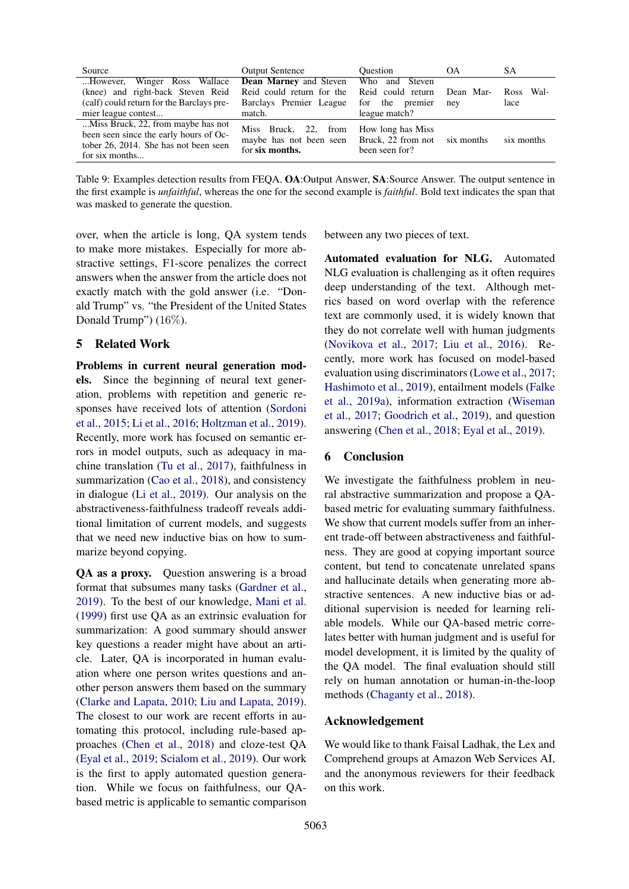<span id="page-8-0"></span>

| Source                                                                                                                                                                                                                                     | <b>Output Sentence</b>                                                                           | <b>Ouestion</b>                                    | OA.              | SА                            |
|--------------------------------------------------------------------------------------------------------------------------------------------------------------------------------------------------------------------------------------------|--------------------------------------------------------------------------------------------------|----------------------------------------------------|------------------|-------------------------------|
| However, Winger Ross Wallace <b>Dean Marney</b> and Steven<br>(knee) and right-back Steven Reid Reid could return for the Reid could return<br>(calf) could return for the Barclays pre-<br>Barclays Premier League<br>mier league contest | match.                                                                                           | Who and Steven<br>for the premier<br>league match? | Dean Mar-<br>nev | - Wal-<br><b>Ross</b><br>lace |
| Miss Bruck, 22, from maybe has not<br>been seen since the early hours of Oc-<br>tober 26, 2014. She has not been seen<br>for six months                                                                                                    | Miss Bruck, 22, from<br>maybe has not been seen Bruck, 22 from not six months<br>for six months. | How long has Miss<br>been seen for?                |                  | six months                    |

Table 9: Examples detection results from FEQA. OA:Output Answer, SA:Source Answer. The output sentence in the first example is *unfaithful*, whereas the one for the second example is *faithful*. Bold text indicates the span that was masked to generate the question.

over, when the article is long, QA system tends to make more mistakes. Especially for more abstractive settings, F1-score penalizes the correct answers when the answer from the article does not exactly match with the gold answer (i.e. "Donald Trump" vs. "the President of the United States Donald Trump") (16%).

### 5 Related Work

Problems in current neural generation models. Since the beginning of neural text generation, problems with repetition and generic responses have received lots of attention [\(Sordoni](#page-11-5) [et al.,](#page-11-5) [2015;](#page-11-5) [Li et al.,](#page-10-14) [2016;](#page-10-14) [Holtzman et al.,](#page-10-15) [2019\)](#page-10-15). Recently, more work has focused on semantic errors in model outputs, such as adequacy in machine translation [\(Tu et al.,](#page-11-6) [2017\)](#page-11-6), faithfulness in summarization [\(Cao et al.,](#page-9-2) [2018\)](#page-9-2), and consistency in dialogue [\(Li et al.,](#page-10-16) [2019\)](#page-10-16). Our analysis on the abstractiveness-faithfulness tradeoff reveals additional limitation of current models, and suggests that we need new inductive bias on how to summarize beyond copying.

QA as a proxy. Question answering is a broad format that subsumes many tasks [\(Gardner et al.,](#page-9-18) [2019\)](#page-9-18). To the best of our knowledge, [Mani et al.](#page-10-17) [\(1999\)](#page-10-17) first use QA as an extrinsic evaluation for summarization: A good summary should answer key questions a reader might have about an article. Later, QA is incorporated in human evaluation where one person writes questions and another person answers them based on the summary [\(Clarke and Lapata,](#page-9-19) [2010;](#page-9-19) [Liu and Lapata,](#page-10-6) [2019\)](#page-10-6). The closest to our work are recent efforts in automating this protocol, including rule-based approaches [\(Chen et al.,](#page-9-5) [2018\)](#page-9-5) and cloze-test QA [\(Eyal et al.,](#page-9-4) [2019;](#page-9-4) [Scialom et al.,](#page-11-2) [2019\)](#page-11-2). Our work is the first to apply automated question generation. While we focus on faithfulness, our QAbased metric is applicable to semantic comparison between any two pieces of text.

Automated evaluation for NLG. Automated NLG evaluation is challenging as it often requires deep understanding of the text. Although metrics based on word overlap with the reference text are commonly used, it is widely known that they do not correlate well with human judgments [\(Novikova et al.,](#page-10-18) [2017;](#page-10-18) [Liu et al.,](#page-10-19) [2016\)](#page-10-19). Recently, more work has focused on model-based evaluation using discriminators [\(Lowe et al.,](#page-10-20) [2017;](#page-10-20) [Hashimoto et al.,](#page-9-20) [2019\)](#page-9-20), entailment models [\(Falke](#page-9-3) [et al.,](#page-9-3) [2019a\)](#page-9-3), information extraction [\(Wiseman](#page-11-7) [et al.,](#page-11-7) [2017;](#page-11-7) [Goodrich et al.,](#page-9-13) [2019\)](#page-9-13), and question answering [\(Chen et al.,](#page-9-5) [2018;](#page-9-5) [Eyal et al.,](#page-9-4) [2019\)](#page-9-4).

#### 6 Conclusion

We investigate the faithfulness problem in neural abstractive summarization and propose a QAbased metric for evaluating summary faithfulness. We show that current models suffer from an inherent trade-off between abstractiveness and faithfulness. They are good at copying important source content, but tend to concatenate unrelated spans and hallucinate details when generating more abstractive sentences. A new inductive bias or additional supervision is needed for learning reliable models. While our QA-based metric correlates better with human judgment and is useful for model development, it is limited by the quality of the QA model. The final evaluation should still rely on human annotation or human-in-the-loop methods [\(Chaganty et al.,](#page-9-21) [2018\)](#page-9-21).

### Acknowledgement

We would like to thank Faisal Ladhak, the Lex and Comprehend groups at Amazon Web Services AI, and the anonymous reviewers for their feedback on this work.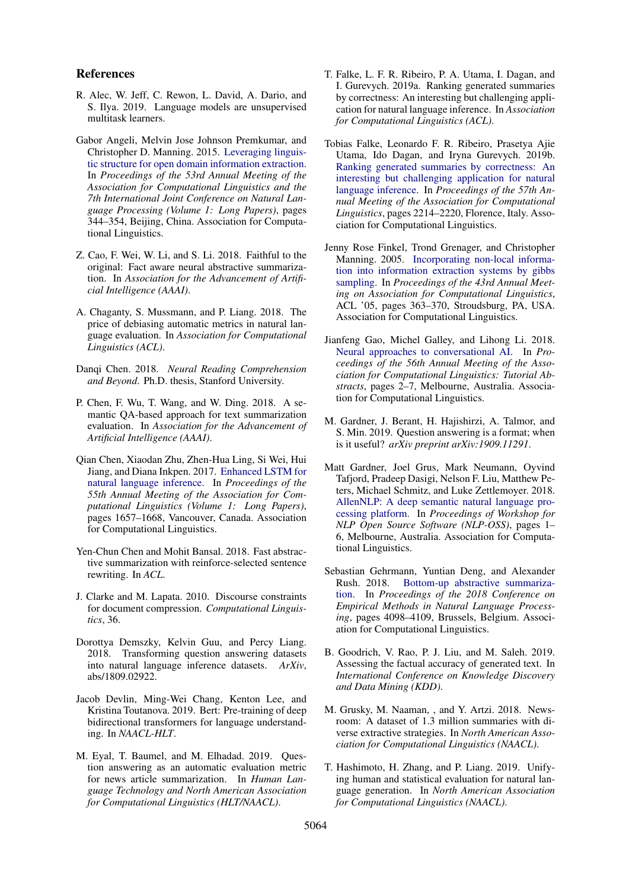#### References

- <span id="page-9-9"></span>R. Alec, W. Jeff, C. Rewon, L. David, A. Dario, and S. Ilya. 2019. Language models are unsupervised multitask learners.
- <span id="page-9-14"></span>Gabor Angeli, Melvin Jose Johnson Premkumar, and Christopher D. Manning. 2015. [Leveraging linguis](https://doi.org/10.3115/v1/P15-1034)[tic structure for open domain information extraction.](https://doi.org/10.3115/v1/P15-1034) In *Proceedings of the 53rd Annual Meeting of the Association for Computational Linguistics and the 7th International Joint Conference on Natural Language Processing (Volume 1: Long Papers)*, pages 344–354, Beijing, China. Association for Computational Linguistics.
- <span id="page-9-2"></span>Z. Cao, F. Wei, W. Li, and S. Li. 2018. Faithful to the original: Fact aware neural abstractive summarization. In *Association for the Advancement of Artificial Intelligence (AAAI)*.
- <span id="page-9-21"></span>A. Chaganty, S. Mussmann, and P. Liang. 2018. The price of debiasing automatic metrics in natural language evaluation. In *Association for Computational Linguistics (ACL)*.
- <span id="page-9-7"></span>Danqi Chen. 2018. *Neural Reading Comprehension and Beyond*. Ph.D. thesis, Stanford University.
- <span id="page-9-5"></span>P. Chen, F. Wu, T. Wang, and W. Ding. 2018. A semantic QA-based approach for text summarization evaluation. In *Association for the Advancement of Artificial Intelligence (AAAI)*.
- <span id="page-9-15"></span>Qian Chen, Xiaodan Zhu, Zhen-Hua Ling, Si Wei, Hui Jiang, and Diana Inkpen. 2017. [Enhanced LSTM for](https://doi.org/10.18653/v1/P17-1152) [natural language inference.](https://doi.org/10.18653/v1/P17-1152) In *Proceedings of the 55th Annual Meeting of the Association for Computational Linguistics (Volume 1: Long Papers)*, pages 1657–1668, Vancouver, Canada. Association for Computational Linguistics.
- <span id="page-9-0"></span>Yen-Chun Chen and Mohit Bansal. 2018. Fast abstractive summarization with reinforce-selected sentence rewriting. In *ACL*.
- <span id="page-9-19"></span>J. Clarke and M. Lapata. 2010. Discourse constraints for document compression. *Computational Linguistics*, 36.
- <span id="page-9-11"></span>Dorottya Demszky, Kelvin Guu, and Percy Liang. 2018. Transforming question answering datasets into natural language inference datasets. *ArXiv*, abs/1809.02922.
- <span id="page-9-12"></span>Jacob Devlin, Ming-Wei Chang, Kenton Lee, and Kristina Toutanova. 2019. Bert: Pre-training of deep bidirectional transformers for language understanding. In *NAACL-HLT*.
- <span id="page-9-4"></span>M. Eyal, T. Baumel, and M. Elhadad. 2019. Question answering as an automatic evaluation metric for news article summarization. In *Human Language Technology and North American Association for Computational Linguistics (HLT/NAACL)*.
- <span id="page-9-3"></span>T. Falke, L. F. R. Ribeiro, P. A. Utama, I. Dagan, and I. Gurevych. 2019a. Ranking generated summaries by correctness: An interesting but challenging application for natural language inference. In *Association for Computational Linguistics (ACL)*.
- <span id="page-9-17"></span>Tobias Falke, Leonardo F. R. Ribeiro, Prasetya Ajie Utama, Ido Dagan, and Iryna Gurevych. 2019b. [Ranking generated summaries by correctness: An](https://doi.org/10.18653/v1/P19-1213) [interesting but challenging application for natural](https://doi.org/10.18653/v1/P19-1213) [language inference.](https://doi.org/10.18653/v1/P19-1213) In *Proceedings of the 57th Annual Meeting of the Association for Computational Linguistics*, pages 2214–2220, Florence, Italy. Association for Computational Linguistics.
- <span id="page-9-10"></span>Jenny Rose Finkel, Trond Grenager, and Christopher Manning. 2005. [Incorporating non-local informa](https://doi.org/10.3115/1219840.1219885)[tion into information extraction systems by gibbs](https://doi.org/10.3115/1219840.1219885) [sampling.](https://doi.org/10.3115/1219840.1219885) In *Proceedings of the 43rd Annual Meeting on Association for Computational Linguistics*, ACL '05, pages 363–370, Stroudsburg, PA, USA. Association for Computational Linguistics.
- <span id="page-9-8"></span>Jianfeng Gao, Michel Galley, and Lihong Li. 2018. [Neural approaches to conversational AI.](https://doi.org/10.18653/v1/P18-5002) In *Proceedings of the 56th Annual Meeting of the Association for Computational Linguistics: Tutorial Abstracts*, pages 2–7, Melbourne, Australia. Association for Computational Linguistics.
- <span id="page-9-18"></span>M. Gardner, J. Berant, H. Hajishirzi, A. Talmor, and S. Min. 2019. Question answering is a format; when is it useful? *arXiv preprint arXiv:1909.11291*.
- <span id="page-9-16"></span>Matt Gardner, Joel Grus, Mark Neumann, Oyvind Tafjord, Pradeep Dasigi, Nelson F. Liu, Matthew Peters, Michael Schmitz, and Luke Zettlemoyer. 2018. [AllenNLP: A deep semantic natural language pro](https://doi.org/10.18653/v1/W18-2501)[cessing platform.](https://doi.org/10.18653/v1/W18-2501) In *Proceedings of Workshop for NLP Open Source Software (NLP-OSS)*, pages 1– 6, Melbourne, Australia. Association for Computational Linguistics.
- <span id="page-9-1"></span>Sebastian Gehrmann, Yuntian Deng, and Alexander Rush. 2018. [Bottom-up abstractive summariza](https://doi.org/10.18653/v1/D18-1443)[tion.](https://doi.org/10.18653/v1/D18-1443) In *Proceedings of the 2018 Conference on Empirical Methods in Natural Language Processing*, pages 4098–4109, Brussels, Belgium. Association for Computational Linguistics.
- <span id="page-9-13"></span>B. Goodrich, V. Rao, P. J. Liu, and M. Saleh. 2019. Assessing the factual accuracy of generated text. In *International Conference on Knowledge Discovery and Data Mining (KDD)*.
- <span id="page-9-6"></span>M. Grusky, M. Naaman, , and Y. Artzi. 2018. Newsroom: A dataset of 1.3 million summaries with diverse extractive strategies. In *North American Association for Computational Linguistics (NAACL)*.
- <span id="page-9-20"></span>T. Hashimoto, H. Zhang, and P. Liang. 2019. Unifying human and statistical evaluation for natural language generation. In *North American Association for Computational Linguistics (NAACL)*.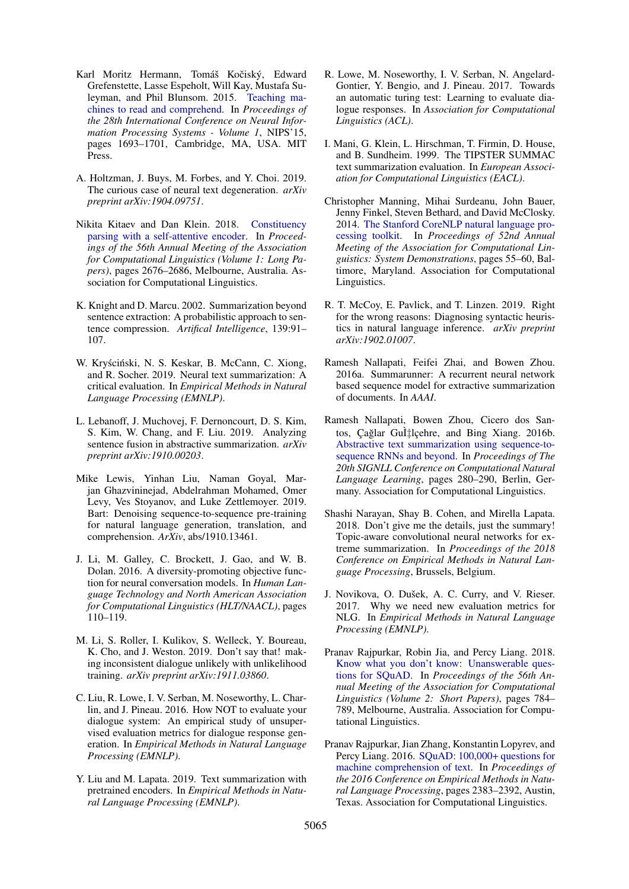- <span id="page-10-3"></span>Karl Moritz Hermann, Tomáš Kočiský, Edward Grefenstette, Lasse Espeholt, Will Kay, Mustafa Suleyman, and Phil Blunsom. 2015. [Teaching ma](http://dl.acm.org/citation.cfm?id=2969239.2969428)[chines to read and comprehend.](http://dl.acm.org/citation.cfm?id=2969239.2969428) In *Proceedings of the 28th International Conference on Neural Information Processing Systems - Volume 1*, NIPS'15, pages 1693–1701, Cambridge, MA, USA. MIT Press.
- <span id="page-10-15"></span>A. Holtzman, J. Buys, M. Forbes, and Y. Choi. 2019. The curious case of neural text degeneration. *arXiv preprint arXiv:1904.09751*.
- <span id="page-10-9"></span>Nikita Kitaev and Dan Klein. 2018. [Constituency](https://doi.org/10.18653/v1/P18-1249) [parsing with a self-attentive encoder.](https://doi.org/10.18653/v1/P18-1249) In *Proceedings of the 56th Annual Meeting of the Association for Computational Linguistics (Volume 1: Long Papers)*, pages 2676–2686, Melbourne, Australia. Association for Computational Linguistics.
- <span id="page-10-7"></span>K. Knight and D. Marcu. 2002. Summarization beyond sentence extraction: A probabilistic approach to sentence compression. *Artifical Intelligence*, 139:91– 107.
- <span id="page-10-0"></span>W. Kryściński, N. S. Keskar, B. McCann, C. Xiong, and R. Socher. 2019. Neural text summarization: A critical evaluation. In *Empirical Methods in Natural Language Processing (EMNLP)*.
- <span id="page-10-1"></span>L. Lebanoff, J. Muchovej, F. Dernoncourt, D. S. Kim, S. Kim, W. Chang, and F. Liu. 2019. Analyzing sentence fusion in abstractive summarization. *arXiv preprint arXiv:1910.00203*.
- <span id="page-10-11"></span>Mike Lewis, Yinhan Liu, Naman Goyal, Marjan Ghazvininejad, Abdelrahman Mohamed, Omer Levy, Ves Stoyanov, and Luke Zettlemoyer. 2019. Bart: Denoising sequence-to-sequence pre-training for natural language generation, translation, and comprehension. *ArXiv*, abs/1910.13461.
- <span id="page-10-14"></span>J. Li, M. Galley, C. Brockett, J. Gao, and W. B. Dolan. 2016. A diversity-promoting objective function for neural conversation models. In *Human Language Technology and North American Association for Computational Linguistics (HLT/NAACL)*, pages 110–119.
- <span id="page-10-16"></span>M. Li, S. Roller, I. Kulikov, S. Welleck, Y. Boureau, K. Cho, and J. Weston. 2019. Don't say that! making inconsistent dialogue unlikely with unlikelihood training. *arXiv preprint arXiv:1911.03860*.
- <span id="page-10-19"></span>C. Liu, R. Lowe, I. V. Serban, M. Noseworthy, L. Charlin, and J. Pineau. 2016. How NOT to evaluate your dialogue system: An empirical study of unsupervised evaluation metrics for dialogue response generation. In *Empirical Methods in Natural Language Processing (EMNLP)*.
- <span id="page-10-6"></span>Y. Liu and M. Lapata. 2019. Text summarization with pretrained encoders. In *Empirical Methods in Natural Language Processing (EMNLP)*.
- <span id="page-10-20"></span>R. Lowe, M. Noseworthy, I. V. Serban, N. Angelard-Gontier, Y. Bengio, and J. Pineau. 2017. Towards an automatic turing test: Learning to evaluate dialogue responses. In *Association for Computational Linguistics (ACL)*.
- <span id="page-10-17"></span>I. Mani, G. Klein, L. Hirschman, T. Firmin, D. House, and B. Sundheim. 1999. The TIPSTER SUMMAC text summarization evaluation. In *European Association for Computational Linguistics (EACL)*.
- <span id="page-10-10"></span>Christopher Manning, Mihai Surdeanu, John Bauer, Jenny Finkel, Steven Bethard, and David McClosky. 2014. [The Stanford CoreNLP natural language pro](https://doi.org/10.3115/v1/P14-5010)[cessing toolkit.](https://doi.org/10.3115/v1/P14-5010) In *Proceedings of 52nd Annual Meeting of the Association for Computational Linguistics: System Demonstrations*, pages 55–60, Baltimore, Maryland. Association for Computational Linguistics.
- <span id="page-10-13"></span>R. T. McCoy, E. Pavlick, and T. Linzen. 2019. Right for the wrong reasons: Diagnosing syntactic heuristics in natural language inference. *arXiv preprint arXiv:1902.01007*.
- <span id="page-10-2"></span>Ramesh Nallapati, Feifei Zhai, and Bowen Zhou. 2016a. Summarunner: A recurrent neural network based sequence model for extractive summarization of documents. In *AAAI*.
- <span id="page-10-4"></span>Ramesh Nallapati, Bowen Zhou, Cicero dos Santos, Çağlar Gul‡lçehre, and Bing Xiang. 2016b. [Abstractive text summarization using sequence-to](https://doi.org/10.18653/v1/K16-1028)[sequence RNNs and beyond.](https://doi.org/10.18653/v1/K16-1028) In *Proceedings of The 20th SIGNLL Conference on Computational Natural Language Learning*, pages 280–290, Berlin, Germany. Association for Computational Linguistics.
- <span id="page-10-5"></span>Shashi Narayan, Shay B. Cohen, and Mirella Lapata. 2018. Don't give me the details, just the summary! Topic-aware convolutional neural networks for extreme summarization. In *Proceedings of the 2018 Conference on Empirical Methods in Natural Language Processing*, Brussels, Belgium.
- <span id="page-10-18"></span>J. Novikova, O. Dušek, A. C. Curry, and V. Rieser. 2017. Why we need new evaluation metrics for NLG. In *Empirical Methods in Natural Language Processing (EMNLP)*.
- <span id="page-10-12"></span>Pranav Rajpurkar, Robin Jia, and Percy Liang. 2018. [Know what you don't know: Unanswerable ques](https://doi.org/10.18653/v1/P18-2124)[tions for SQuAD.](https://doi.org/10.18653/v1/P18-2124) In *Proceedings of the 56th Annual Meeting of the Association for Computational Linguistics (Volume 2: Short Papers)*, pages 784– 789, Melbourne, Australia. Association for Computational Linguistics.
- <span id="page-10-8"></span>Pranav Rajpurkar, Jian Zhang, Konstantin Lopyrev, and Percy Liang. 2016. [SQuAD: 100,000+ questions for](https://doi.org/10.18653/v1/D16-1264) [machine comprehension of text.](https://doi.org/10.18653/v1/D16-1264) In *Proceedings of the 2016 Conference on Empirical Methods in Natural Language Processing*, pages 2383–2392, Austin, Texas. Association for Computational Linguistics.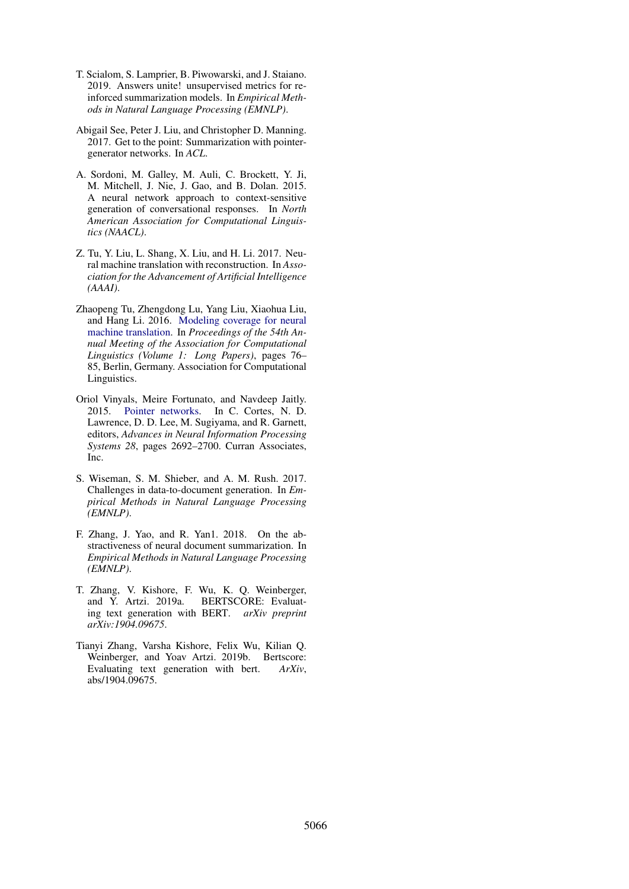- <span id="page-11-2"></span>T. Scialom, S. Lamprier, B. Piwowarski, and J. Staiano. 2019. Answers unite! unsupervised metrics for reinforced summarization models. In *Empirical Methods in Natural Language Processing (EMNLP)*.
- <span id="page-11-0"></span>Abigail See, Peter J. Liu, and Christopher D. Manning. 2017. Get to the point: Summarization with pointergenerator networks. In *ACL*.
- <span id="page-11-5"></span>A. Sordoni, M. Galley, M. Auli, C. Brockett, Y. Ji, M. Mitchell, J. Nie, J. Gao, and B. Dolan. 2015. A neural network approach to context-sensitive generation of conversational responses. In *North American Association for Computational Linguistics (NAACL)*.
- <span id="page-11-6"></span>Z. Tu, Y. Liu, L. Shang, X. Liu, and H. Li. 2017. Neural machine translation with reconstruction. In *Association for the Advancement of Artificial Intelligence (AAAI)*.
- <span id="page-11-9"></span>Zhaopeng Tu, Zhengdong Lu, Yang Liu, Xiaohua Liu, and Hang Li. 2016. [Modeling coverage for neural](https://doi.org/10.18653/v1/P16-1008) [machine translation.](https://doi.org/10.18653/v1/P16-1008) In *Proceedings of the 54th Annual Meeting of the Association for Computational Linguistics (Volume 1: Long Papers)*, pages 76– 85, Berlin, Germany. Association for Computational Linguistics.
- <span id="page-11-8"></span>Oriol Vinyals, Meire Fortunato, and Navdeep Jaitly. 2015. [Pointer networks.](http://papers.nips.cc/paper/5866-pointer-networks.pdf) In C. Cortes, N. D. Lawrence, D. D. Lee, M. Sugiyama, and R. Garnett, editors, *Advances in Neural Information Processing Systems 28*, pages 2692–2700. Curran Associates, Inc.
- <span id="page-11-7"></span>S. Wiseman, S. M. Shieber, and A. M. Rush. 2017. Challenges in data-to-document generation. In *Empirical Methods in Natural Language Processing (EMNLP)*.
- <span id="page-11-3"></span>F. Zhang, J. Yao, and R. Yan1. 2018. On the abstractiveness of neural document summarization. In *Empirical Methods in Natural Language Processing (EMNLP)*.
- <span id="page-11-1"></span>T. Zhang, V. Kishore, F. Wu, K. Q. Weinberger, and Y. Artzi. 2019a. BERTSCORE: Evaluating text generation with BERT. *arXiv preprint arXiv:1904.09675*.
- <span id="page-11-4"></span>Tianyi Zhang, Varsha Kishore, Felix Wu, Kilian Q. Weinberger, and Yoav Artzi. 2019b. Bertscore: Evaluating text generation with bert. *ArXiv*, abs/1904.09675.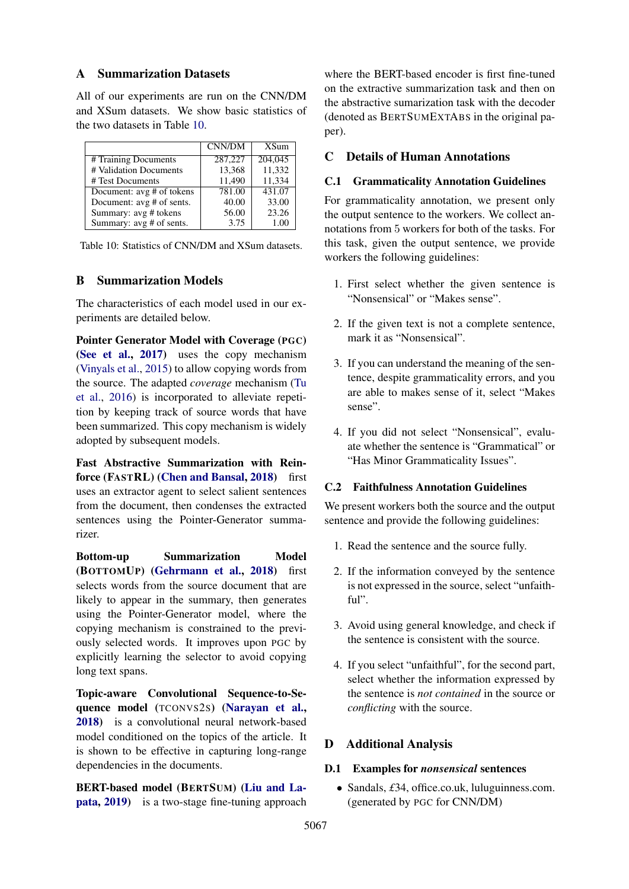#### <span id="page-12-0"></span>A Summarization Datasets

All of our experiments are run on the CNN/DM and XSum datasets. We show basic statistics of the two datasets in Table [10.](#page-12-3)

<span id="page-12-3"></span>

|                           | CNN/DM  | <b>XSum</b> |
|---------------------------|---------|-------------|
| # Training Documents      | 287,227 | 204,045     |
| # Validation Documents    | 13,368  | 11,332      |
| # Test Documents          | 11.490  | 11,334      |
| Document: avg # of tokens | 781.00  | 431.07      |
| Document: avg # of sents. | 40.00   | 33.00       |
| Summary: avg # tokens     | 56.00   | 23.26       |
| Summary: avg # of sents.  | 3.75    | 1.00        |

Table 10: Statistics of CNN/DM and XSum datasets.

#### <span id="page-12-1"></span>B Summarization Models

The characteristics of each model used in our experiments are detailed below.

Pointer Generator Model with Coverage (PGC) [\(See et al.,](#page-11-0) [2017\)](#page-11-0) uses the copy mechanism [\(Vinyals et al.,](#page-11-8) [2015\)](#page-11-8) to allow copying words from the source. The adapted *coverage* mechanism [\(Tu](#page-11-9) [et al.,](#page-11-9) [2016\)](#page-11-9) is incorporated to alleviate repetition by keeping track of source words that have been summarized. This copy mechanism is widely adopted by subsequent models.

Fast Abstractive Summarization with Rein-force (FASTRL) [\(Chen and Bansal,](#page-9-0) [2018\)](#page-9-0) first uses an extractor agent to select salient sentences from the document, then condenses the extracted sentences using the Pointer-Generator summarizer.

Bottom-up Summarization Model (BOTTOMUP) [\(Gehrmann et al.,](#page-9-1) [2018\)](#page-9-1) first selects words from the source document that are likely to appear in the summary, then generates using the Pointer-Generator model, where the copying mechanism is constrained to the previously selected words. It improves upon PGC by explicitly learning the selector to avoid copying long text spans.

Topic-aware Convolutional Sequence-to-Sequence model (TCONVS2S) [\(Narayan et al.,](#page-10-5) [2018\)](#page-10-5) is a convolutional neural network-based model conditioned on the topics of the article. It is shown to be effective in capturing long-range dependencies in the documents.

BERT-based model (BERTSUM) [\(Liu and La](#page-10-6)[pata,](#page-10-6) [2019\)](#page-10-6) is a two-stage fine-tuning approach

where the BERT-based encoder is first fine-tuned on the extractive summarization task and then on the abstractive sumarization task with the decoder (denoted as BERTSUMEXTABS in the original paper).

### <span id="page-12-2"></span>C Details of Human Annotations

#### C.1 Grammaticality Annotation Guidelines

For grammaticality annotation, we present only the output sentence to the workers. We collect annotations from 5 workers for both of the tasks. For this task, given the output sentence, we provide workers the following guidelines:

- 1. First select whether the given sentence is "Nonsensical" or "Makes sense".
- 2. If the given text is not a complete sentence, mark it as "Nonsensical".
- 3. If you can understand the meaning of the sentence, despite grammaticality errors, and you are able to makes sense of it, select "Makes sense".
- 4. If you did not select "Nonsensical", evaluate whether the sentence is "Grammatical" or "Has Minor Grammaticality Issues".

#### C.2 Faithfulness Annotation Guidelines

We present workers both the source and the output sentence and provide the following guidelines:

- 1. Read the sentence and the source fully.
- 2. If the information conveyed by the sentence is not expressed in the source, select "unfaithful".
- 3. Avoid using general knowledge, and check if the sentence is consistent with the source.
- 4. If you select "unfaithful", for the second part, select whether the information expressed by the sentence is *not contained* in the source or *conflicting* with the source.

### D Additional Analysis

#### D.1 Examples for *nonsensical* sentences

• Sandals, £34, office.co.uk, luluguinness.com. (generated by PGC for CNN/DM)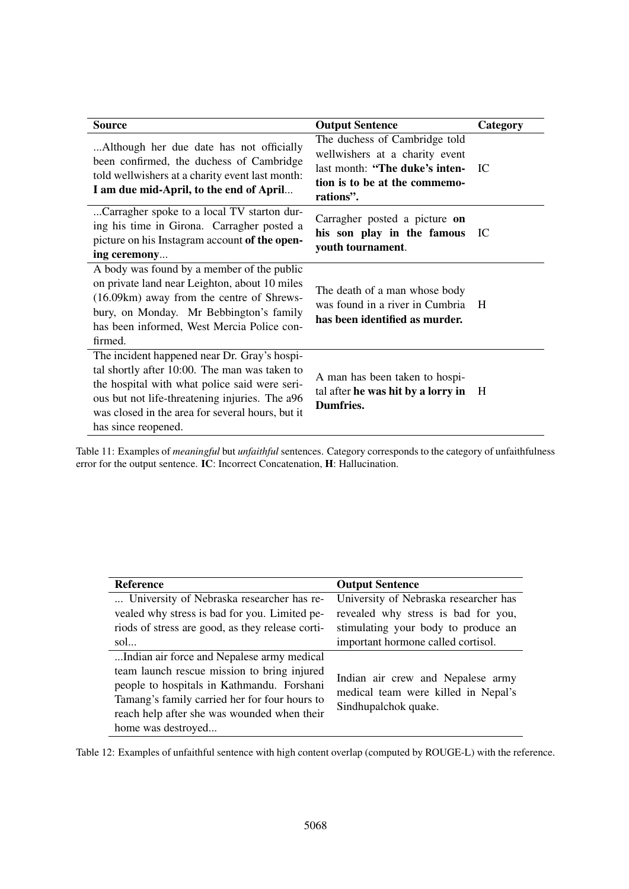<span id="page-13-0"></span>

| <b>Source</b>                                                                                                                                                                                                                                                               | <b>Output Sentence</b>                                                                                                                          | Category |
|-----------------------------------------------------------------------------------------------------------------------------------------------------------------------------------------------------------------------------------------------------------------------------|-------------------------------------------------------------------------------------------------------------------------------------------------|----------|
| Although her due date has not officially<br>been confirmed, the duchess of Cambridge<br>told wellwishers at a charity event last month:<br>I am due mid-April, to the end of April                                                                                          | The duchess of Cambridge told<br>wellwishers at a charity event<br>last month: "The duke's inten-<br>tion is to be at the commemo-<br>rations". | TC       |
| Carragher spoke to a local TV starton dur-<br>ing his time in Girona. Carragher posted a<br>picture on his Instagram account of the open-<br>ing ceremony                                                                                                                   | Carragher posted a picture on<br>his son play in the famous<br>youth tournament.                                                                | IC       |
| A body was found by a member of the public<br>on private land near Leighton, about 10 miles<br>(16.09km) away from the centre of Shrews-<br>bury, on Monday. Mr Bebbington's family<br>has been informed, West Mercia Police con-<br>firmed.                                | The death of a man whose body<br>was found in a river in Cumbria<br>has been identified as murder.                                              | H        |
| The incident happened near Dr. Gray's hospi-<br>tal shortly after 10:00. The man was taken to<br>the hospital with what police said were seri-<br>ous but not life-threatening injuries. The a96<br>was closed in the area for several hours, but it<br>has since reopened. | A man has been taken to hospi-<br>tal after he was hit by a lorry in<br>Dumfries.                                                               | H        |

Table 11: Examples of *meaningful* but *unfaithful* sentences. Category corresponds to the category of unfaithfulness error for the output sentence. IC: Incorrect Concatenation, H: Hallucination.

<span id="page-13-1"></span>

| <b>Reference</b>                                 | <b>Output Sentence</b>                                                   |
|--------------------------------------------------|--------------------------------------------------------------------------|
| University of Nebraska researcher has re-        | University of Nebraska researcher has                                    |
| vealed why stress is bad for you. Limited pe-    | revealed why stress is bad for you,                                      |
| riods of stress are good, as they release corti- | stimulating your body to produce an                                      |
| $\text{sol}$                                     | important hormone called cortisol.                                       |
| Indian air force and Nepalese army medical       |                                                                          |
| team launch rescue mission to bring injured      |                                                                          |
| people to hospitals in Kathmandu. Forshani       | Indian air crew and Nepalese army<br>medical team were killed in Nepal's |
| Tamang's family carried her for four hours to    |                                                                          |
| reach help after she was wounded when their      | Sindhupalchok quake.                                                     |
| home was destroyed                               |                                                                          |

Table 12: Examples of unfaithful sentence with high content overlap (computed by ROUGE-L) with the reference.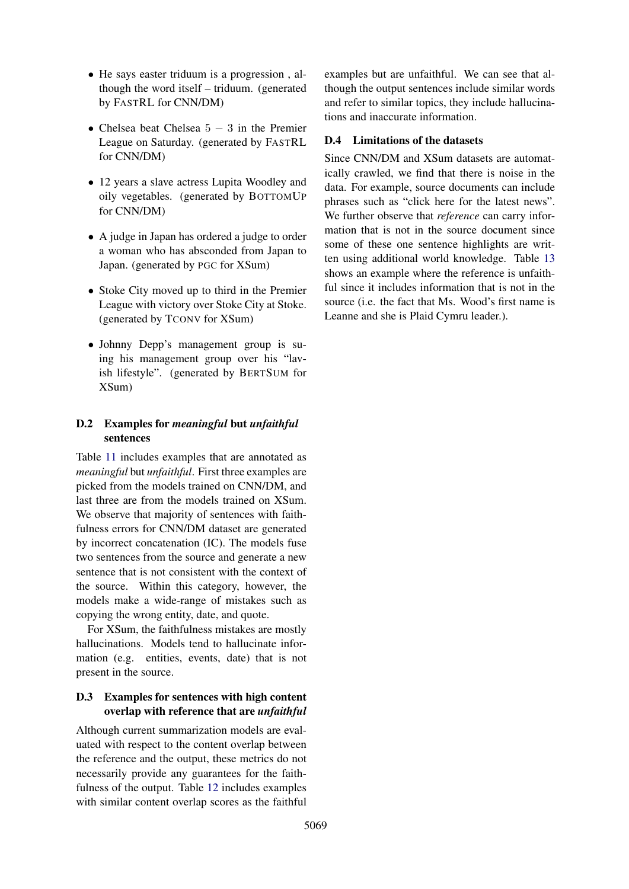- He says easter triduum is a progression , although the word itself – triduum. (generated by FASTRL for CNN/DM)
- Chelsea beat Chelsea  $5 3$  in the Premier League on Saturday. (generated by FASTRL for CNN/DM)
- 12 years a slave actress Lupita Woodley and oily vegetables. (generated by BOTTOMUP for CNN/DM)
- A judge in Japan has ordered a judge to order a woman who has absconded from Japan to Japan. (generated by PGC for XSum)
- Stoke City moved up to third in the Premier League with victory over Stoke City at Stoke. (generated by TCONV for XSum)
- Johnny Depp's management group is suing his management group over his "lavish lifestyle". (generated by BERTSUM for XSum)

## D.2 Examples for *meaningful* but *unfaithful* sentences

Table [11](#page-13-0) includes examples that are annotated as *meaningful* but *unfaithful*. First three examples are picked from the models trained on CNN/DM, and last three are from the models trained on XSum. We observe that majority of sentences with faithfulness errors for CNN/DM dataset are generated by incorrect concatenation (IC). The models fuse two sentences from the source and generate a new sentence that is not consistent with the context of the source. Within this category, however, the models make a wide-range of mistakes such as copying the wrong entity, date, and quote.

For XSum, the faithfulness mistakes are mostly hallucinations. Models tend to hallucinate information (e.g. entities, events, date) that is not present in the source.

### <span id="page-14-0"></span>D.3 Examples for sentences with high content overlap with reference that are *unfaithful*

Although current summarization models are evaluated with respect to the content overlap between the reference and the output, these metrics do not necessarily provide any guarantees for the faithfulness of the output. Table [12](#page-13-1) includes examples with similar content overlap scores as the faithful examples but are unfaithful. We can see that although the output sentences include similar words and refer to similar topics, they include hallucinations and inaccurate information.

### D.4 Limitations of the datasets

Since CNN/DM and XSum datasets are automatically crawled, we find that there is noise in the data. For example, source documents can include phrases such as "click here for the latest news". We further observe that *reference* can carry information that is not in the source document since some of these one sentence highlights are written using additional world knowledge. Table [13](#page-15-0) shows an example where the reference is unfaithful since it includes information that is not in the source (i.e. the fact that Ms. Wood's first name is Leanne and she is Plaid Cymru leader.).